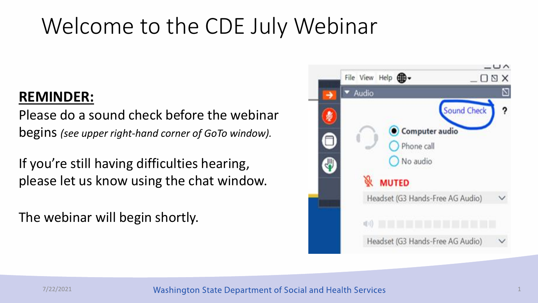## Welcome to the CDE July Webinar

#### **REMINDER:**

Please do a sound check before the webinar begins *(see upper right-hand corner of GoTo window).*

If you're still having difficulties hearing, please let us know using the chat window.

The webinar will begin shortly.

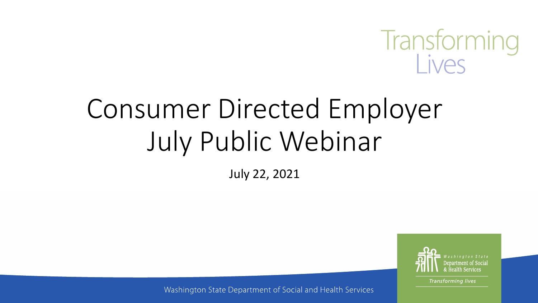

# Consumer Directed Employer July Public Webinar

July 22, 2021



**Transforming lives** 

Washington State Department of Social and Health Services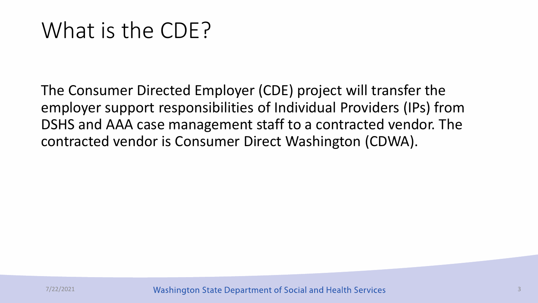### What is the CDE?

The Consumer Directed Employer (CDE) project will transfer the employer support responsibilities of Individual Providers (IPs) from DSHS and AAA case management staff to a contracted vendor. The contracted vendor is Consumer Direct Washington (CDWA).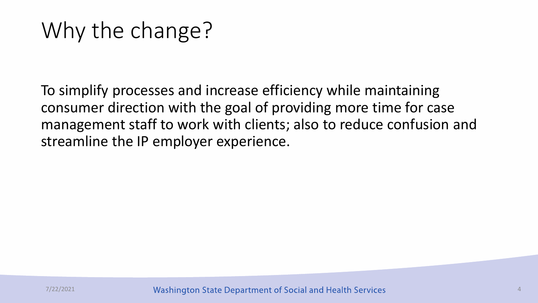### Why the change?

To simplify processes and increase efficiency while maintaining consumer direction with the goal of providing more time for case management staff to work with clients; also to reduce confusion and streamline the IP employer experience.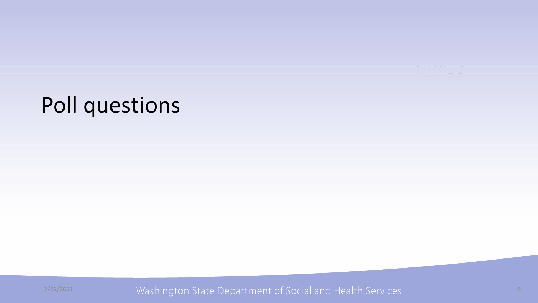### Poll questions

7/22/2021 Washington State Department of Social and Health Services Material Mashington State Department of Social and Health Services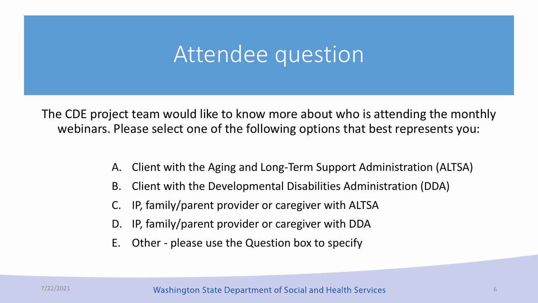#### Attendee question

The CDE project team would like to know more about who is attending the monthly webinars. Please select one of the following options that best represents you:

- A. Client with the Aging and Long-Term Support Administration (ALTSA)
- B. Client with the Developmental Disabilities Administration (DDA)
- C. IP, family/parent provider or caregiver with ALTSA
- D. IP, family/parent provider or caregiver with DDA
- E. Other please use the Question box to specify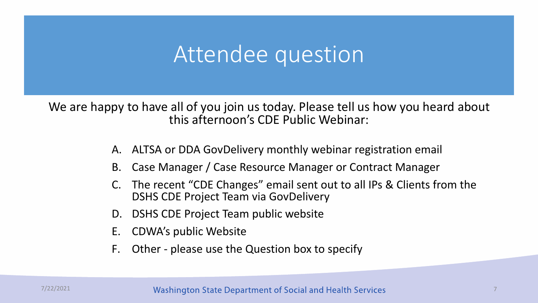#### Attendee question

We are happy to have all of you join us today. Please tell us how you heard about this afternoon's CDE Public Webinar:

- A. ALTSA or DDA GovDelivery monthly webinar registration email
- B. Case Manager / Case Resource Manager or Contract Manager
- C. The recent "CDE Changes" email sent out to all IPs & Clients from the DSHS CDE Project Team via GovDelivery
- D. DSHS CDE Project Team public website
- E. CDWA's public Website
- F. Other please use the Question box to specify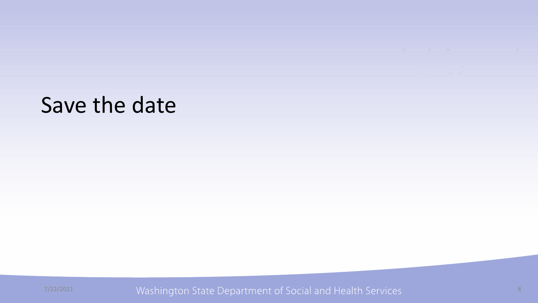#### Save the date



7/22/2021 Washington State Department of Social and Health Services 8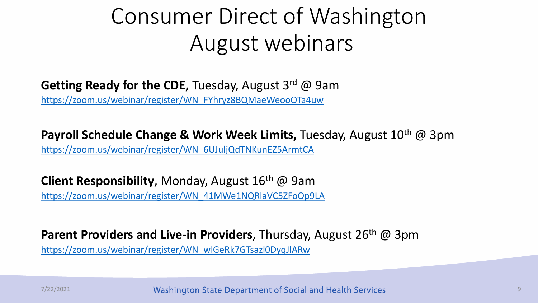### Consumer Direct of Washington August webinars

**Getting Ready for the CDE, Tuesday, August 3rd @ 9am** 

[https://zoom.us/webinar/register/WN\\_FYhryz8BQMaeWeooOTa4uw](https://zoom.us/webinar/register/WN_FYhryz8BQMaeWeooOTa4uw)

**Payroll Schedule Change & Work Week Limits, Tuesday, August 10<sup>th</sup> @ 3pm** [https://zoom.us/webinar/register/WN\\_6UJuljQdTNKunEZ5ArmtCA](https://zoom.us/webinar/register/WN_6UJuljQdTNKunEZ5ArmtCA)

**Client Responsibility, Monday, August 16<sup>th</sup> @ 9am** [https://zoom.us/webinar/register/WN\\_41MWe1NQRlaVC5ZFoOp9LA](https://zoom.us/webinar/register/WN_41MWe1NQRlaVC5ZFoOp9LA)

#### **Parent Providers and Live-in Providers**, Thursday, August 26<sup>th</sup> @ 3pm

[https://zoom.us/webinar/register/WN\\_wlGeRk7GTsazl0DyqJlARw](https://zoom.us/webinar/register/WN_wlGeRk7GTsazl0DyqJlARw)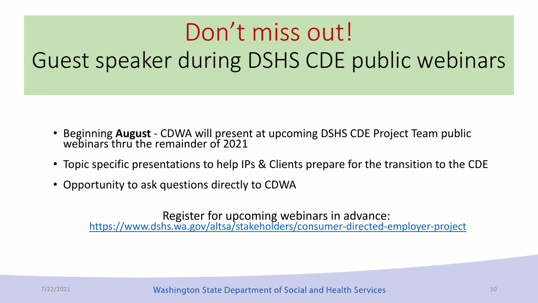# Don't miss out! Guest speaker during DSHS CDE public webinars

- Beginning **August**  CDWA will present at upcoming DSHS CDE Project Team public webinars thru the remainder of 2021
- Topic specific presentations to help IPs & Clients prepare for the transition to the CDE
- Opportunity to ask questions directly to CDWA

Register for upcoming webinars in advance: <https://www.dshs.wa.gov/altsa/stakeholders/consumer-directed-employer-project>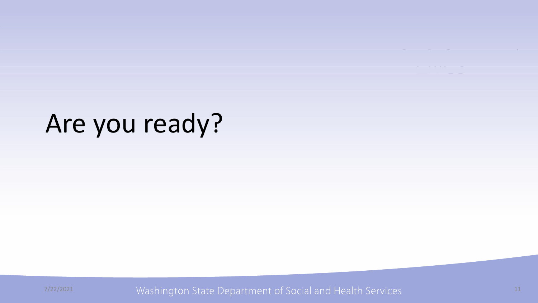# Are you ready?

7/22/2021 Washington State Department of Social and Health Services 11 11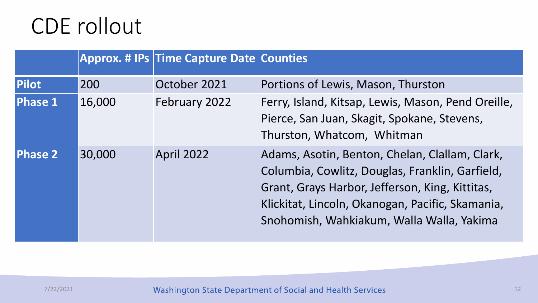### CDE rollout

|                |        | Approx. # IPs Time Capture Date Counties |                                                                                                                                                                                                                                                       |
|----------------|--------|------------------------------------------|-------------------------------------------------------------------------------------------------------------------------------------------------------------------------------------------------------------------------------------------------------|
| <b>Pilot</b>   | 200    | October 2021                             | Portions of Lewis, Mason, Thurston                                                                                                                                                                                                                    |
| <b>Phase 1</b> | 16,000 | February 2022                            | Ferry, Island, Kitsap, Lewis, Mason, Pend Oreille,<br>Pierce, San Juan, Skagit, Spokane, Stevens,<br>Thurston, Whatcom, Whitman                                                                                                                       |
| <b>Phase 2</b> | 30,000 | <b>April 2022</b>                        | Adams, Asotin, Benton, Chelan, Clallam, Clark,<br>Columbia, Cowlitz, Douglas, Franklin, Garfield,<br>Grant, Grays Harbor, Jefferson, King, Kittitas,<br>Klickitat, Lincoln, Okanogan, Pacific, Skamania,<br>Snohomish, Wahkiakum, Walla Walla, Yakima |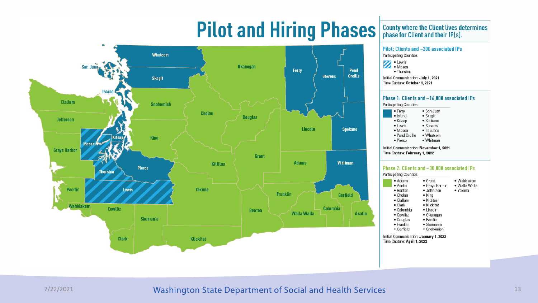#### Pilot and Hiring Phase for Client and their IP(s).





Initial Communication: January 1, 2022 Time Capture: April 1, 2022

#### 7/22/2021 **13** Washington State Department of Social and Health Services 13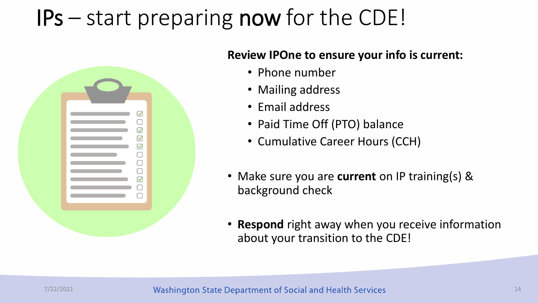### IPs – start preparing now for the CDE!

| $\Delta$   |  |
|------------|--|
| DOQOOOQQQO |  |
|            |  |
|            |  |

#### **Review IPOne to ensure your info is current:**

- Phone number
- Mailing address
- Email address
- Paid Time Off (PTO) balance
- Cumulative Career Hours (CCH)
- Make sure you are **current** on IP training(s) & background check
- **Respond** right away when you receive information about your transition to the CDE!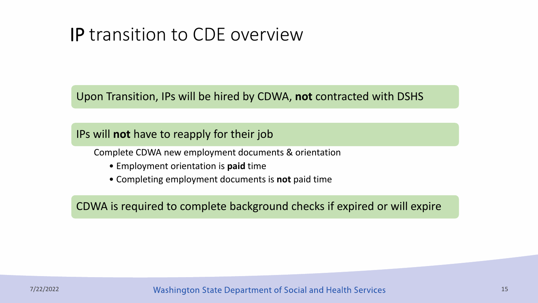#### IP transition to CDE overview

Upon Transition, IPs will be hired by CDWA, **not** contracted with DSHS

IPs will **not** have to reapply for their job

Complete CDWA new employment documents & orientation

- Employment orientation is **paid** time
- Completing employment documents is **not** paid time

CDWA is required to complete background checks if expired or will expire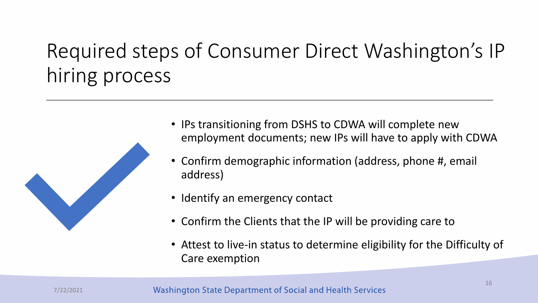### Required steps of Consumer Direct Washington's IP hiring process



- IPs transitioning from DSHS to CDWA will complete new employment documents; new IPs will have to apply with CDWA
- Confirm demographic information (address, phone #, email address)
- Identify an emergency contact
- Confirm the Clients that the IP will be providing care to
- Attest to live-in status to determine eligibility for the Difficulty of Care exemption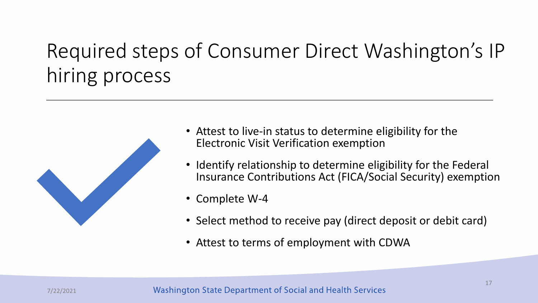#### Required steps of Consumer Direct Washington's IP hiring process



- Attest to live-in status to determine eligibility for the Electronic Visit Verification exemption
- Identify relationship to determine eligibility for the Federal Insurance Contributions Act (FICA/Social Security) exemption
- Complete W-4
- Select method to receive pay (direct deposit or debit card)
- Attest to terms of employment with CDWA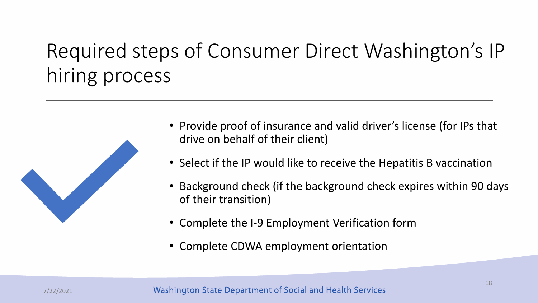### Required steps of Consumer Direct Washington's IP hiring process



- Provide proof of insurance and valid driver's license (for IPs that drive on behalf of their client)
- Select if the IP would like to receive the Hepatitis B vaccination
- Background check (if the background check expires within 90 days of their transition)
- Complete the I-9 Employment Verification form
- Complete CDWA employment orientation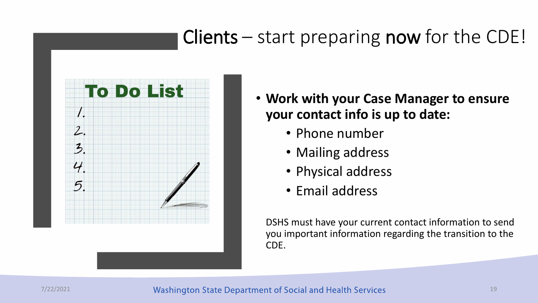#### Clients – start preparing now for the CDE!



- **Work with your Case Manager to ensure your contact info is up to date:**
	- Phone number
	- Mailing address
	- Physical address
	- Email address

DSHS must have your current contact information to send you important information regarding the transition to the CDE.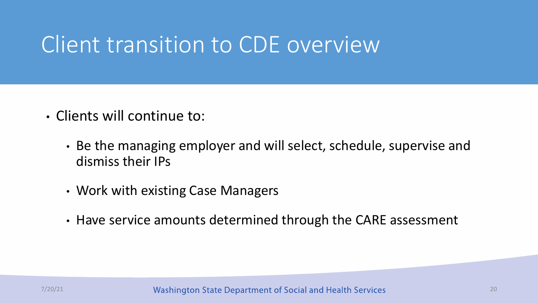### Client transition to CDE overview

- Clients will continue to:
	- Be the managing employer and will select, schedule, supervise and dismiss their IPs
	- Work with existing Case Managers
	- Have service amounts determined through the CARE assessment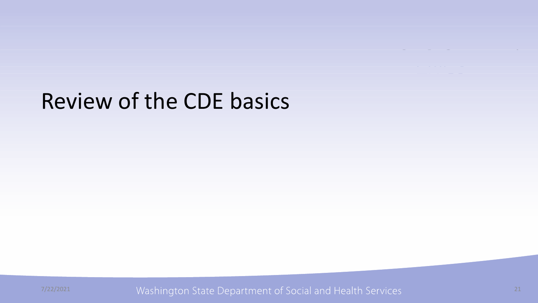#### Review of the CDE basics

7/22/2021 Washington State Department of Social and Health Services 21 21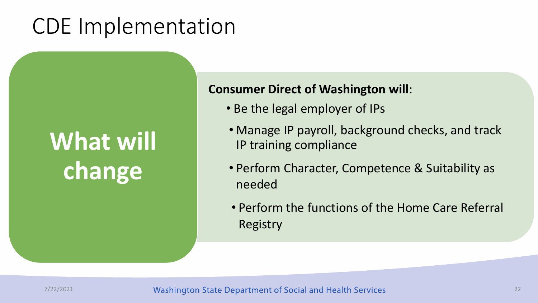# **What will change**

#### **Consumer Direct of Washington will**:

- Be the legal employer of IPs
- Manage IP payroll, background checks, and track IP training compliance
- Perform Character, Competence & Suitability as needed
- Perform the functions of the Home Care Referral Registry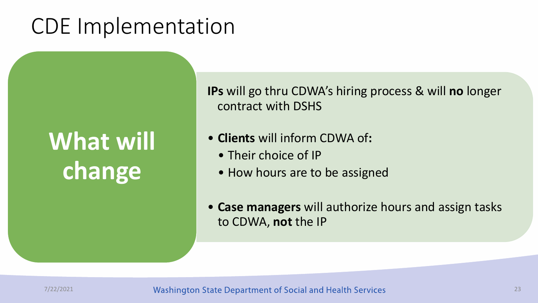# **What will change**

**IPs** will go thru CDWA's hiring process & will **no** longer contract with DSHS

- **Clients** will inform CDWA of**:**
	- Their choice of IP
	- How hours are to be assigned
- **Case managers** will authorize hours and assign tasks to CDWA, **not** the IP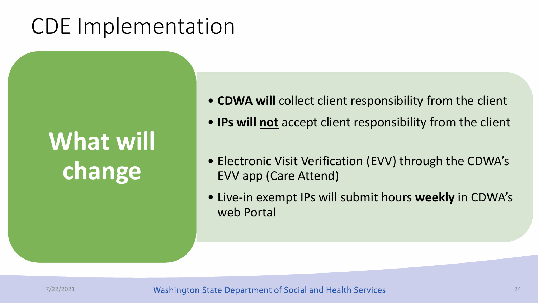# **What will change**

- **CDWA will** collect client responsibility from the client
- **IPs will not** accept client responsibility from the client
- Electronic Visit Verification (EVV) through the CDWA's EVV app (Care Attend)
- Live-in exempt IPs will submit hours **weekly** in CDWA's web Portal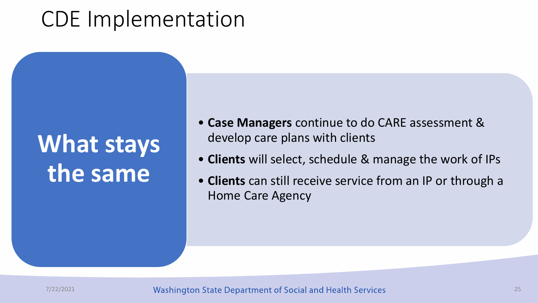# **What stays the same**

- **Case Managers** continue to do CARE assessment & develop care plans with clients
- **Clients** will select, schedule & manage the work of IPs
- **Clients** can still receive service from an IP or through a Home Care Agency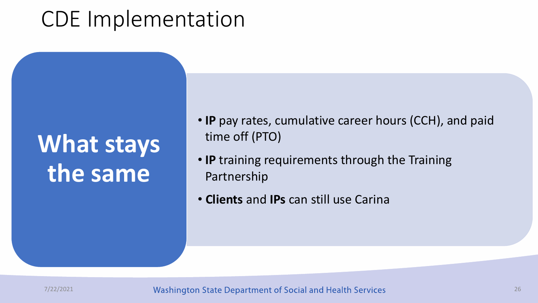# **What stays the same**

- **IP** pay rates, cumulative career hours (CCH), and paid time off (PTO)
- **IP** training requirements through the Training Partnership
- **Clients** and **IPs** can still use Carina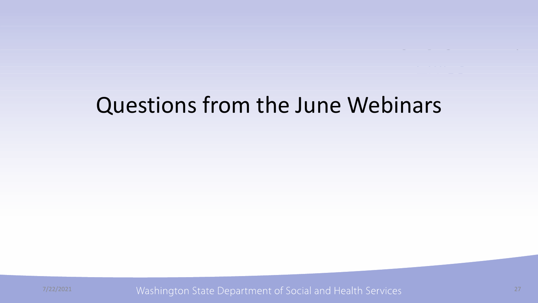#### Questions from the June Webinars

7/22/2021 Washington State Department of Social and Health Services 27 27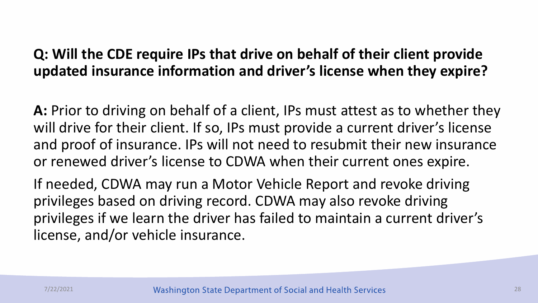#### **Q: Will the CDE require IPs that drive on behalf of their client provide updated insurance information and driver's license when they expire?**

**A:** Prior to driving on behalf of a client, IPs must attest as to whether they will drive for their client. If so, IPs must provide a current driver's license and proof of insurance. IPs will not need to resubmit their new insurance or renewed driver's license to CDWA when their current ones expire.

If needed, CDWA may run a Motor Vehicle Report and revoke driving privileges based on driving record. CDWA may also revoke driving privileges if we learn the driver has failed to maintain a current driver's license, and/or vehicle insurance.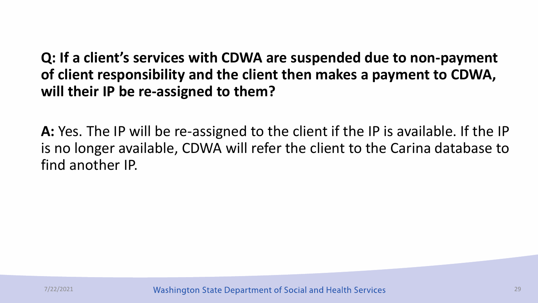**Q: If a client's services with CDWA are suspended due to non-payment of client responsibility and the client then makes a payment to CDWA, will their IP be re-assigned to them?**

**A:** Yes. The IP will be re-assigned to the client if the IP is available. If the IP is no longer available, CDWA will refer the client to the Carina database to find another IP.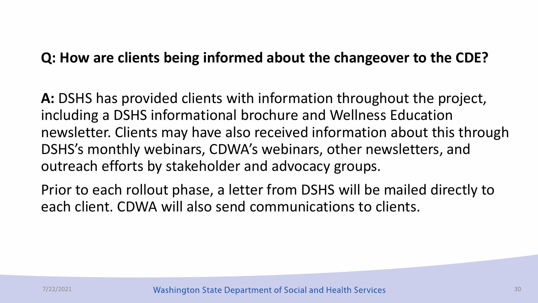#### **Q: How are clients being informed about the changeover to the CDE?**

**A:** DSHS has provided clients with information throughout the project, including a DSHS informational brochure and Wellness Education newsletter. Clients may have also received information about this through DSHS's monthly webinars, CDWA's webinars, other newsletters, and outreach efforts by stakeholder and advocacy groups.

Prior to each rollout phase, a letter from DSHS will be mailed directly to each client. CDWA will also send communications to clients.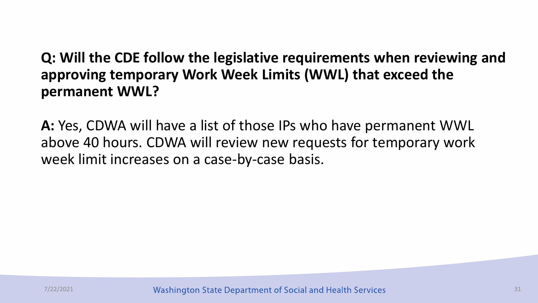#### **Q: Will the CDE follow the legislative requirements when reviewing and approving temporary Work Week Limits (WWL) that exceed the permanent WWL?**

**A:** Yes, CDWA will have a list of those IPs who have permanent WWL above 40 hours. CDWA will review new requests for temporary work week limit increases on a case-by-case basis.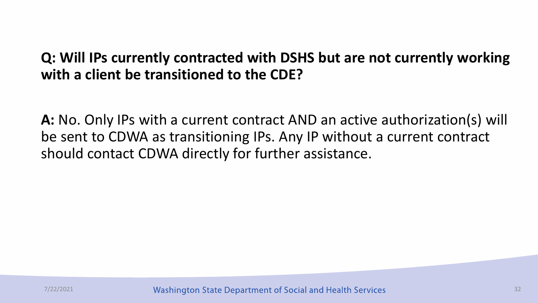#### **Q: Will IPs currently contracted with DSHS but are not currently working with a client be transitioned to the CDE?**

**A:** No. Only IPs with a current contract AND an active authorization(s) will be sent to CDWA as transitioning IPs. Any IP without a current contract should contact CDWA directly for further assistance.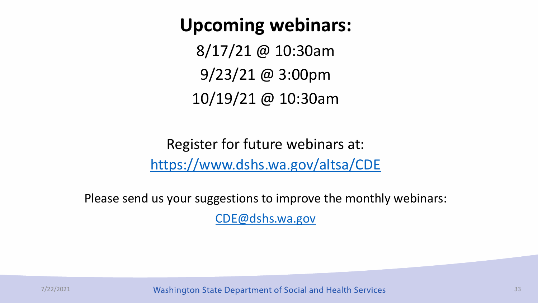#### **Upcoming webinars:**

8/17/21 @ 10:30am 9/23/21 @ 3:00pm 10/19/21 @ 10:30am

Register for future webinars at: <https://www.dshs.wa.gov/altsa/CDE>

Please send us your suggestions to improve the monthly webinars: [CDE@dshs.wa.gov](mailto:CDE@dshs.wa.gov)